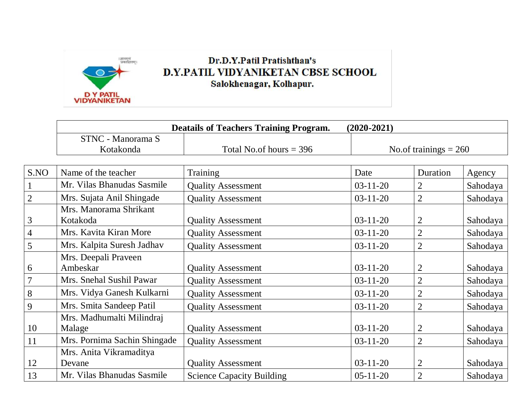

## **Dr.D.Y.Patil Pratishthan's** D.Y.PATIL VIDYANIKETAN CBSE SCHOOL Salokhenagar, Kolhapur.

|                         | <b>Deatails of Teachers Training Program.</b><br>$(2020 - 2021)$ |                                  |                         |                |          |  |  |
|-------------------------|------------------------------------------------------------------|----------------------------------|-------------------------|----------------|----------|--|--|
|                         | <b>STNC - Manorama S</b><br>Kotakonda                            | Total No.of hours $=$ 396        | No.of trainings $= 260$ |                |          |  |  |
|                         |                                                                  |                                  |                         |                |          |  |  |
| S.NO                    | Name of the teacher                                              | Training                         | Date                    | Duration       | Agency   |  |  |
| $\perp$                 | Mr. Vilas Bhanudas Sasmile                                       | <b>Quality Assessment</b>        | $03-11-20$              | 2              | Sahodaya |  |  |
| $\overline{2}$          | Mrs. Sujata Anil Shingade                                        | <b>Quality Assessment</b>        | $03-11-20$              | $\overline{2}$ | Sahodaya |  |  |
|                         | Mrs. Manorama Shrikant                                           |                                  |                         |                |          |  |  |
| $\overline{\mathbf{3}}$ | Kotakoda                                                         | <b>Quality Assessment</b>        | $03-11-20$              | 2              | Sahodaya |  |  |
| $\overline{4}$          | Mrs. Kavita Kiran More                                           | <b>Quality Assessment</b>        | $03-11-20$              | 2              | Sahodaya |  |  |
| $\overline{5}$          | Mrs. Kalpita Suresh Jadhav                                       | <b>Quality Assessment</b>        | $03-11-20$              | 2              | Sahodaya |  |  |
|                         | Mrs. Deepali Praveen                                             |                                  |                         |                |          |  |  |
| $\frac{6}{1}$           | Ambeskar                                                         | <b>Quality Assessment</b>        | $03-11-20$              | 2              | Sahodaya |  |  |
| $\overline{7}$          | Mrs. Snehal Sushil Pawar                                         | <b>Quality Assessment</b>        | $03-11-20$              | $\overline{2}$ | Sahodaya |  |  |
| $\, 8$                  | Mrs. Vidya Ganesh Kulkarni                                       | <b>Quality Assessment</b>        | $03-11-20$              | 2              | Sahodaya |  |  |
| 9                       | Mrs. Smita Sandeep Patil                                         | <b>Quality Assessment</b>        | $03 - 11 - 20$          | 2              | Sahodaya |  |  |
|                         | Mrs. Madhumalti Milindraj                                        |                                  |                         |                |          |  |  |
| 10                      | Malage                                                           | <b>Quality Assessment</b>        | $03-11-20$              | 2              | Sahodaya |  |  |
| 11                      | Mrs. Pornima Sachin Shingade                                     | <b>Quality Assessment</b>        | $03 - 11 - 20$          | $\overline{2}$ | Sahodaya |  |  |
|                         | Mrs. Anita Vikramaditya                                          |                                  |                         |                |          |  |  |
| 12                      | Devane                                                           | <b>Quality Assessment</b>        | $03-11-20$              | $\overline{2}$ | Sahodaya |  |  |
| 13                      | Mr. Vilas Bhanudas Sasmile                                       | <b>Science Capacity Building</b> | $05-11-20$              | 2              | Sahodaya |  |  |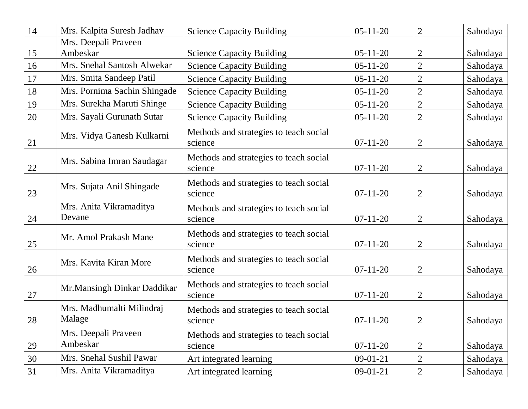| 14 | Mrs. Kalpita Suresh Jadhav          | <b>Science Capacity Building</b>                  | $05-11-20$     | $\overline{2}$ | Sahodaya |
|----|-------------------------------------|---------------------------------------------------|----------------|----------------|----------|
|    | Mrs. Deepali Praveen                |                                                   |                |                |          |
| 15 | Ambeskar                            | <b>Science Capacity Building</b>                  | $05-11-20$     | $\overline{2}$ | Sahodaya |
| 16 | Mrs. Snehal Santosh Alwekar         | <b>Science Capacity Building</b>                  | $05 - 11 - 20$ | $\overline{2}$ | Sahodaya |
| 17 | Mrs. Smita Sandeep Patil            | <b>Science Capacity Building</b>                  | $05 - 11 - 20$ | $\overline{2}$ | Sahodaya |
| 18 | Mrs. Pornima Sachin Shingade        | <b>Science Capacity Building</b>                  | $05 - 11 - 20$ | $\overline{2}$ | Sahodaya |
| 19 | Mrs. Surekha Maruti Shinge          | <b>Science Capacity Building</b>                  | $05 - 11 - 20$ | $\overline{2}$ | Sahodaya |
| 20 | Mrs. Sayali Gurunath Sutar          | <b>Science Capacity Building</b>                  | $05 - 11 - 20$ | $\overline{2}$ | Sahodaya |
| 21 | Mrs. Vidya Ganesh Kulkarni          | Methods and strategies to teach social<br>science | $07 - 11 - 20$ | 2              | Sahodaya |
| 22 | Mrs. Sabina Imran Saudagar          | Methods and strategies to teach social<br>science | $07 - 11 - 20$ | $\overline{2}$ | Sahodaya |
| 23 | Mrs. Sujata Anil Shingade           | Methods and strategies to teach social<br>science | $07-11-20$     | $\overline{2}$ | Sahodaya |
| 24 | Mrs. Anita Vikramaditya<br>Devane   | Methods and strategies to teach social<br>science | $07-11-20$     | $\overline{2}$ | Sahodaya |
| 25 | Mr. Amol Prakash Mane               | Methods and strategies to teach social<br>science | $07-11-20$     | $\overline{2}$ | Sahodaya |
| 26 | Mrs. Kavita Kiran More              | Methods and strategies to teach social<br>science | $07-11-20$     | $\overline{2}$ | Sahodaya |
| 27 | Mr. Mansingh Dinkar Daddikar        | Methods and strategies to teach social<br>science | $07 - 11 - 20$ | $\overline{2}$ | Sahodaya |
| 28 | Mrs. Madhumalti Milindraj<br>Malage | Methods and strategies to teach social<br>science | $07-11-20$     | $\overline{2}$ | Sahodaya |
| 29 | Mrs. Deepali Praveen<br>Ambeskar    | Methods and strategies to teach social<br>science | $07-11-20$     | $\overline{2}$ | Sahodaya |
| 30 | Mrs. Snehal Sushil Pawar            | Art integrated learning                           | $09-01-21$     | $\overline{2}$ | Sahodaya |
| 31 | Mrs. Anita Vikramaditya             | Art integrated learning                           | $09-01-21$     | $\overline{2}$ | Sahodaya |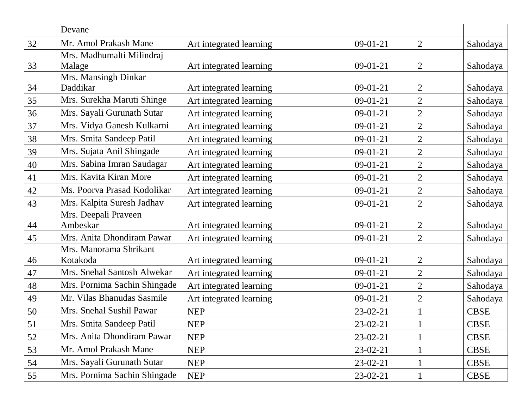|    | Devane                              |                         |            |                |             |
|----|-------------------------------------|-------------------------|------------|----------------|-------------|
| 32 | Mr. Amol Prakash Mane               | Art integrated learning | $09-01-21$ | $\overline{2}$ | Sahodaya    |
| 33 | Mrs. Madhumalti Milindraj<br>Malage | Art integrated learning | $09-01-21$ | 2              | Sahodaya    |
| 34 | Mrs. Mansingh Dinkar<br>Daddikar    | Art integrated learning | $09-01-21$ | 2              | Sahodaya    |
| 35 | Mrs. Surekha Maruti Shinge          | Art integrated learning | $09-01-21$ | 2              | Sahodaya    |
| 36 | Mrs. Sayali Gurunath Sutar          | Art integrated learning | $09-01-21$ | $\overline{2}$ | Sahodaya    |
| 37 | Mrs. Vidya Ganesh Kulkarni          | Art integrated learning | $09-01-21$ | $\overline{2}$ | Sahodaya    |
| 38 | Mrs. Smita Sandeep Patil            | Art integrated learning | $09-01-21$ | 2              | Sahodaya    |
| 39 | Mrs. Sujata Anil Shingade           | Art integrated learning | $09-01-21$ | 2              | Sahodaya    |
| 40 | Mrs. Sabina Imran Saudagar          | Art integrated learning | $09-01-21$ | 2              | Sahodaya    |
| 41 | Mrs. Kavita Kiran More              | Art integrated learning | $09-01-21$ | $\overline{2}$ | Sahodaya    |
| 42 | Ms. Poorva Prasad Kodolikar         | Art integrated learning | $09-01-21$ | 2              | Sahodaya    |
| 43 | Mrs. Kalpita Suresh Jadhav          | Art integrated learning | $09-01-21$ | 2              | Sahodaya    |
| 44 | Mrs. Deepali Praveen<br>Ambeskar    | Art integrated learning | $09-01-21$ | 2              | Sahodaya    |
| 45 | Mrs. Anita Dhondiram Pawar          | Art integrated learning | $09-01-21$ | $\overline{2}$ | Sahodaya    |
| 46 | Mrs. Manorama Shrikant<br>Kotakoda  | Art integrated learning | $09-01-21$ | 2              | Sahodaya    |
| 47 | Mrs. Snehal Santosh Alwekar         | Art integrated learning | $09-01-21$ | 2              | Sahodaya    |
| 48 | Mrs. Pornima Sachin Shingade        | Art integrated learning | $09-01-21$ | $\overline{2}$ | Sahodaya    |
| 49 | Mr. Vilas Bhanudas Sasmile          | Art integrated learning | $09-01-21$ | $\overline{2}$ | Sahodaya    |
| 50 | Mrs. Snehal Sushil Pawar            | <b>NEP</b>              | 23-02-21   |                | <b>CBSE</b> |
| 51 | Mrs. Smita Sandeep Patil            | <b>NEP</b>              | 23-02-21   |                | <b>CBSE</b> |
| 52 | Mrs. Anita Dhondiram Pawar          | <b>NEP</b>              | 23-02-21   |                | <b>CBSE</b> |
| 53 | Mr. Amol Prakash Mane               | <b>NEP</b>              | $23-02-21$ |                | <b>CBSE</b> |
| 54 | Mrs. Sayali Gurunath Sutar          | <b>NEP</b>              | 23-02-21   |                | <b>CBSE</b> |
| 55 | Mrs. Pornima Sachin Shingade        | <b>NEP</b>              | 23-02-21   |                | <b>CBSE</b> |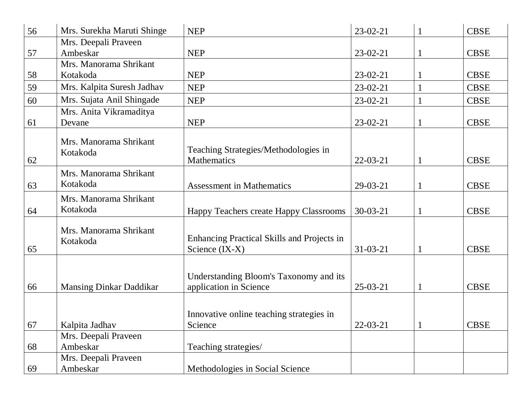| 56 | Mrs. Surekha Maruti Shinge         | <b>NEP</b>                                 | $23-02-21$     |          | <b>CBSE</b> |
|----|------------------------------------|--------------------------------------------|----------------|----------|-------------|
|    | Mrs. Deepali Praveen               |                                            |                |          |             |
| 57 | Ambeskar                           | <b>NEP</b>                                 | $23-02-21$     |          | <b>CBSE</b> |
|    | Mrs. Manorama Shrikant             |                                            |                |          |             |
| 58 | Kotakoda                           | <b>NEP</b>                                 | $23 - 02 - 21$ |          | <b>CBSE</b> |
| 59 | Mrs. Kalpita Suresh Jadhav         | <b>NEP</b>                                 | $23-02-21$     |          | <b>CBSE</b> |
| 60 | Mrs. Sujata Anil Shingade          | <b>NEP</b>                                 | $23-02-21$     |          | <b>CBSE</b> |
|    | Mrs. Anita Vikramaditya            |                                            |                |          |             |
| 61 | Devane                             | <b>NEP</b>                                 | $23-02-21$     |          | <b>CBSE</b> |
|    |                                    |                                            |                |          |             |
|    | Mrs. Manorama Shrikant<br>Kotakoda | Teaching Strategies/Methodologies in       |                |          |             |
| 62 |                                    | <b>Mathematics</b>                         | $22 - 03 - 21$ | 1        | <b>CBSE</b> |
|    | Mrs. Manorama Shrikant             |                                            |                |          |             |
| 63 | Kotakoda                           | <b>Assessment in Mathematics</b>           | $29-03-21$     | 1        | <b>CBSE</b> |
|    | Mrs. Manorama Shrikant             |                                            |                |          |             |
| 64 | Kotakoda                           |                                            | $30 - 03 - 21$ |          | <b>CBSE</b> |
|    |                                    | Happy Teachers create Happy Classrooms     |                |          |             |
|    | Mrs. Manorama Shrikant             |                                            |                |          |             |
|    | Kotakoda                           | Enhancing Practical Skills and Projects in |                |          |             |
| 65 |                                    | Science (IX-X)                             | $31 - 03 - 21$ | 1        | <b>CBSE</b> |
|    |                                    |                                            |                |          |             |
|    |                                    | Understanding Bloom's Taxonomy and its     |                |          |             |
| 66 | <b>Mansing Dinkar Daddikar</b>     | application in Science                     | $25-03-21$     | 1        | <b>CBSE</b> |
|    |                                    |                                            |                |          |             |
|    |                                    | Innovative online teaching strategies in   |                |          |             |
| 67 | Kalpita Jadhav                     | Science                                    | $22 - 03 - 21$ |          | <b>CBSE</b> |
|    | Mrs. Deepali Praveen               |                                            |                | $\bf{l}$ |             |
| 68 | Ambeskar                           | Teaching strategies/                       |                |          |             |
|    | Mrs. Deepali Praveen               |                                            |                |          |             |
| 69 | Ambeskar                           | Methodologies in Social Science            |                |          |             |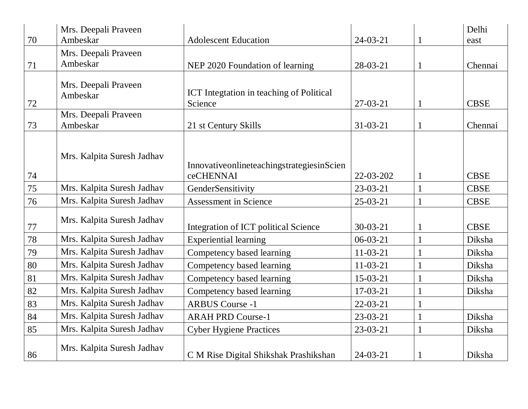|    | Mrs. Deepali Praveen             |                                                        |                | Delhi       |
|----|----------------------------------|--------------------------------------------------------|----------------|-------------|
| 70 | Ambeskar                         | <b>Adolescent Education</b>                            | $24 - 03 - 21$ | east        |
| 71 | Mrs. Deepali Praveen<br>Ambeskar | NEP 2020 Foundation of learning                        | 28-03-21       | Chennai     |
| 72 | Mrs. Deepali Praveen<br>Ambeskar | ICT Integtation in teaching of Political<br>Science    | $27-03-21$     | <b>CBSE</b> |
| 73 | Mrs. Deepali Praveen<br>Ambeskar | 21 st Century Skills                                   | $31 - 03 - 21$ | Chennai     |
| 74 | Mrs. Kalpita Suresh Jadhav       | InnovativeonlineteachingstrategiesinScien<br>ceCHENNAI | 22-03-202      | <b>CBSE</b> |
| 75 | Mrs. Kalpita Suresh Jadhav       | GenderSensitivity                                      | $23-03-21$     | <b>CBSE</b> |
| 76 | Mrs. Kalpita Suresh Jadhav       | <b>Assessment in Science</b>                           | $25-03-21$     | <b>CBSE</b> |
| 77 | Mrs. Kalpita Suresh Jadhav       | Integration of ICT political Science                   | $30 - 03 - 21$ | <b>CBSE</b> |
| 78 | Mrs. Kalpita Suresh Jadhav       | <b>Experiential learning</b>                           | $06 - 03 - 21$ | Diksha      |
| 79 | Mrs. Kalpita Suresh Jadhav       | Competency based learning                              | $11-03-21$     | Diksha      |
| 80 | Mrs. Kalpita Suresh Jadhav       | Competency based learning                              | $11-03-21$     | Diksha      |
| 81 | Mrs. Kalpita Suresh Jadhav       | Competency based learning                              | $15-03-21$     | Diksha      |
| 82 | Mrs. Kalpita Suresh Jadhav       | Competency based learning                              | $17-03-21$     | Diksha      |
| 83 | Mrs. Kalpita Suresh Jadhav       | <b>ARBUS Course -1</b>                                 | $22 - 03 - 21$ |             |
| 84 | Mrs. Kalpita Suresh Jadhav       | <b>ARAH PRD Course-1</b>                               | $23-03-21$     | Diksha      |
| 85 | Mrs. Kalpita Suresh Jadhav       | <b>Cyber Hygiene Practices</b>                         | $23-03-21$     | Diksha      |
| 86 | Mrs. Kalpita Suresh Jadhav       | C M Rise Digital Shikshak Prashikshan                  | $24 - 03 - 21$ | Diksha      |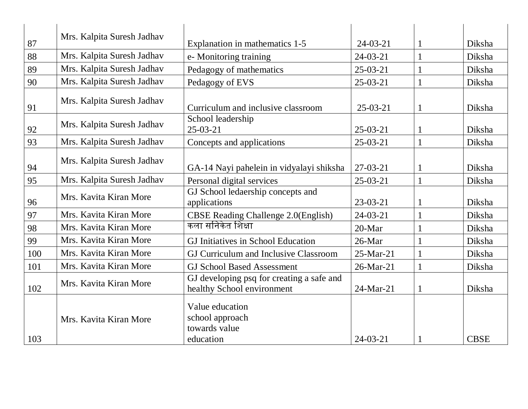| 87  | Mrs. Kalpita Suresh Jadhav | Explanation in mathematics 1-5                                          | $24 - 03 - 21$ |              | Diksha      |
|-----|----------------------------|-------------------------------------------------------------------------|----------------|--------------|-------------|
| 88  | Mrs. Kalpita Suresh Jadhav | e-Monitoring training                                                   | $24 - 03 - 21$ |              | Diksha      |
| 89  | Mrs. Kalpita Suresh Jadhav | Pedagogy of mathematics                                                 | $25 - 03 - 21$ |              | Diksha      |
| 90  | Mrs. Kalpita Suresh Jadhav | Pedagogy of EVS                                                         | $25 - 03 - 21$ |              | Diksha      |
| 91  | Mrs. Kalpita Suresh Jadhav | Curriculum and inclusive classroom                                      | $25-03-21$     |              | Diksha      |
|     |                            | School leadership                                                       |                |              |             |
| 92  | Mrs. Kalpita Suresh Jadhav | $25 - 03 - 21$                                                          | $25-03-21$     | <sup>1</sup> | Diksha      |
| 93  | Mrs. Kalpita Suresh Jadhav | Concepts and applications                                               | $25 - 03 - 21$ |              | Diksha      |
|     | Mrs. Kalpita Suresh Jadhav |                                                                         |                |              |             |
| 94  |                            | GA-14 Nayi pahelein in vidyalayi shiksha                                | $27-03-21$     |              | Diksha      |
| 95  | Mrs. Kalpita Suresh Jadhav | Personal digital services                                               | $25 - 03 - 21$ |              | Diksha      |
| 96  | Mrs. Kavita Kiran More     | GJ School ledaership concepts and<br>applications                       | $23-03-21$     |              | Diksha      |
| 97  | Mrs. Kavita Kiran More     | <b>CBSE Reading Challenge 2.0(English)</b>                              | $24 - 03 - 21$ |              | Diksha      |
| 98  | Mrs. Kavita Kiran More     | कला सनिकेत शिक्षा                                                       | 20-Mar         |              | Diksha      |
| 99  | Mrs. Kavita Kiran More     | GJ Initiatives in School Education                                      | 26-Mar         |              | Diksha      |
| 100 | Mrs. Kavita Kiran More     | GJ Curriculum and Inclusive Classroom                                   | 25-Mar-21      |              | Diksha      |
| 101 | Mrs. Kavita Kiran More     | <b>GJ School Based Assessment</b>                                       | 26-Mar-21      |              | Diksha      |
| 102 | Mrs. Kavita Kiran More     | GJ developing psq for creating a safe and<br>healthy School environment | 24-Mar-21      |              | Diksha      |
| 103 | Mrs. Kavita Kiran More     | Value education<br>school approach<br>towards value<br>education        | $24 - 03 - 21$ |              | <b>CBSE</b> |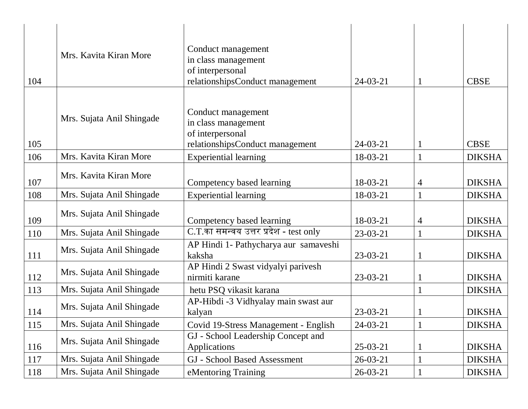| 104 | Mrs. Kavita Kiran More    | Conduct management<br>in class management<br>of interpersonal<br>relationshipsConduct management | $24-03-21$     |   | <b>CBSE</b>   |
|-----|---------------------------|--------------------------------------------------------------------------------------------------|----------------|---|---------------|
| 105 | Mrs. Sujata Anil Shingade | Conduct management<br>in class management<br>of interpersonal<br>relationshipsConduct management | $24-03-21$     |   | <b>CBSE</b>   |
| 106 | Mrs. Kavita Kiran More    | <b>Experiential learning</b>                                                                     | 18-03-21       |   | <b>DIKSHA</b> |
| 107 | Mrs. Kavita Kiran More    | Competency based learning                                                                        | 18-03-21       | 4 | <b>DIKSHA</b> |
| 108 | Mrs. Sujata Anil Shingade | <b>Experiential learning</b>                                                                     | 18-03-21       |   | <b>DIKSHA</b> |
| 109 | Mrs. Sujata Anil Shingade | Competency based learning                                                                        | 18-03-21       | 4 | <b>DIKSHA</b> |
| 110 | Mrs. Sujata Anil Shingade | C.T.का समन्वय उत्तर प्रदेश - test only                                                           | $23-03-21$     |   | <b>DIKSHA</b> |
| 111 | Mrs. Sujata Anil Shingade | AP Hindi 1- Pathycharya aur samaveshi<br>kaksha                                                  | 23-03-21       |   | <b>DIKSHA</b> |
| 112 | Mrs. Sujata Anil Shingade | AP Hindi 2 Swast vidyalyi parivesh<br>nirmiti karane                                             | $23-03-21$     |   | <b>DIKSHA</b> |
| 113 | Mrs. Sujata Anil Shingade | hetu PSQ vikasit karana                                                                          |                |   | <b>DIKSHA</b> |
| 114 | Mrs. Sujata Anil Shingade | AP-Hibdi -3 Vidhyalay main swast aur<br>kalyan                                                   | 23-03-21       |   | <b>DIKSHA</b> |
| 115 | Mrs. Sujata Anil Shingade | Covid 19-Stress Management - English                                                             | $24-03-21$     |   | <b>DIKSHA</b> |
| 116 | Mrs. Sujata Anil Shingade | GJ - School Leadership Concept and<br><b>Applications</b>                                        | $25-03-21$     |   | <b>DIKSHA</b> |
| 117 | Mrs. Sujata Anil Shingade | <b>GJ</b> - School Based Assessment                                                              | $26 - 03 - 21$ |   | <b>DIKSHA</b> |
| 118 | Mrs. Sujata Anil Shingade | eMentoring Training                                                                              | $26 - 03 - 21$ |   | <b>DIKSHA</b> |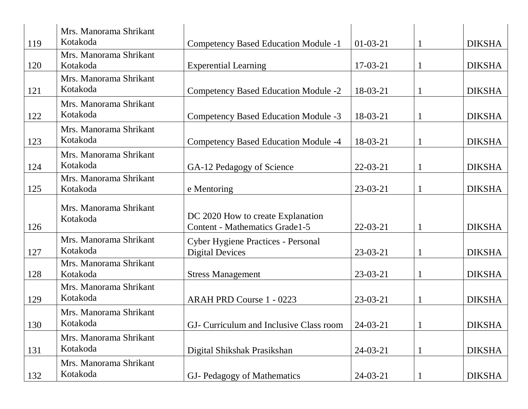| 119 | Mrs. Manorama Shrikant<br>Kotakoda | Competency Based Education Module -1                                       | $01-03-21$     | <b>DIKSHA</b> |
|-----|------------------------------------|----------------------------------------------------------------------------|----------------|---------------|
| 120 | Mrs. Manorama Shrikant<br>Kotakoda | <b>Experential Learning</b>                                                | $17-03-21$     | <b>DIKSHA</b> |
| 121 | Mrs. Manorama Shrikant<br>Kotakoda | Competency Based Education Module -2                                       | 18-03-21       | <b>DIKSHA</b> |
| 122 | Mrs. Manorama Shrikant<br>Kotakoda | Competency Based Education Module -3                                       | 18-03-21       | <b>DIKSHA</b> |
| 123 | Mrs. Manorama Shrikant<br>Kotakoda | <b>Competency Based Education Module -4</b>                                | 18-03-21       | <b>DIKSHA</b> |
| 124 | Mrs. Manorama Shrikant<br>Kotakoda | GA-12 Pedagogy of Science                                                  | $22-03-21$     | <b>DIKSHA</b> |
| 125 | Mrs. Manorama Shrikant<br>Kotakoda | e Mentoring                                                                | $23 - 03 - 21$ | <b>DIKSHA</b> |
| 126 | Mrs. Manorama Shrikant<br>Kotakoda | DC 2020 How to create Explanation<br><b>Content - Mathematics Grade1-5</b> | $22 - 03 - 21$ | <b>DIKSHA</b> |
| 127 | Mrs. Manorama Shrikant<br>Kotakoda | <b>Cyber Hygiene Practices - Personal</b><br><b>Digital Devices</b>        | $23 - 03 - 21$ | <b>DIKSHA</b> |
| 128 | Mrs. Manorama Shrikant<br>Kotakoda | <b>Stress Management</b>                                                   | $23-03-21$     | <b>DIKSHA</b> |
| 129 | Mrs. Manorama Shrikant<br>Kotakoda | <b>ARAH PRD Course 1 - 0223</b>                                            | $23-03-21$     | <b>DIKSHA</b> |
| 130 | Mrs. Manorama Shrikant<br>Kotakoda | GJ- Curriculum and Inclusive Class room                                    | $24-03-21$     | <b>DIKSHA</b> |
| 131 | Mrs. Manorama Shrikant<br>Kotakoda | Digital Shikshak Prasikshan                                                | $24-03-21$     | <b>DIKSHA</b> |
| 132 | Mrs. Manorama Shrikant<br>Kotakoda | GJ- Pedagogy of Mathematics                                                | $24-03-21$     | <b>DIKSHA</b> |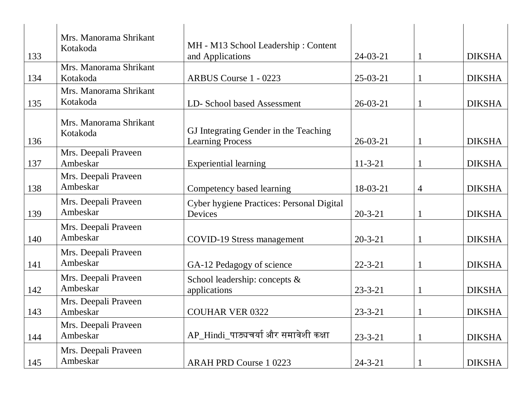| 133 | Mrs. Manorama Shrikant<br>Kotakoda | MH - M13 School Leadership: Content<br>and Applications          | $24 - 03 - 21$ |   | <b>DIKSHA</b> |
|-----|------------------------------------|------------------------------------------------------------------|----------------|---|---------------|
| 134 | Mrs. Manorama Shrikant<br>Kotakoda | <b>ARBUS Course 1 - 0223</b>                                     | $25-03-21$     |   | <b>DIKSHA</b> |
| 135 | Mrs. Manorama Shrikant<br>Kotakoda | LD- School based Assessment                                      | $26 - 03 - 21$ |   | <b>DIKSHA</b> |
| 136 | Mrs. Manorama Shrikant<br>Kotakoda | GJ Integrating Gender in the Teaching<br><b>Learning Process</b> | $26 - 03 - 21$ |   | <b>DIKSHA</b> |
| 137 | Mrs. Deepali Praveen<br>Ambeskar   | <b>Experiential learning</b>                                     | $11 - 3 - 21$  |   | <b>DIKSHA</b> |
| 138 | Mrs. Deepali Praveen<br>Ambeskar   | Competency based learning                                        | 18-03-21       | 4 | <b>DIKSHA</b> |
| 139 | Mrs. Deepali Praveen<br>Ambeskar   | Cyber hygiene Practices: Personal Digital<br>Devices             | $20 - 3 - 21$  |   | <b>DIKSHA</b> |
| 140 | Mrs. Deepali Praveen<br>Ambeskar   | <b>COVID-19 Stress management</b>                                | $20 - 3 - 21$  |   | <b>DIKSHA</b> |
| 141 | Mrs. Deepali Praveen<br>Ambeskar   | GA-12 Pedagogy of science                                        | $22 - 3 - 21$  |   | <b>DIKSHA</b> |
| 142 | Mrs. Deepali Praveen<br>Ambeskar   | School leadership: concepts &<br>applications                    | $23 - 3 - 21$  |   | <b>DIKSHA</b> |
| 143 | Mrs. Deepali Praveen<br>Ambeskar   | <b>COUHAR VER 0322</b>                                           | $23 - 3 - 21$  |   | <b>DIKSHA</b> |
| 144 | Mrs. Deepali Praveen<br>Ambeskar   | AP_Hindi_पाठ्यचर्या और समावेशी कक्षा                             | $23 - 3 - 21$  |   | <b>DIKSHA</b> |
| 145 | Mrs. Deepali Praveen<br>Ambeskar   | <b>ARAH PRD Course 1 0223</b>                                    | $24 - 3 - 21$  |   | <b>DIKSHA</b> |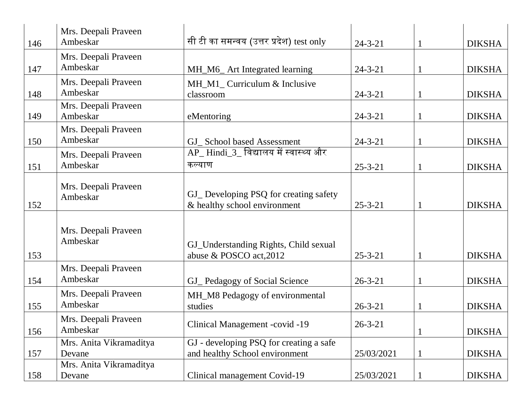| 146 | Mrs. Deepali Praveen<br>Ambeskar  | सी टी का समन्वय (उत्तर प्रदेश) test only                                  | $24 - 3 - 21$ | <b>DIKSHA</b> |
|-----|-----------------------------------|---------------------------------------------------------------------------|---------------|---------------|
| 147 | Mrs. Deepali Praveen<br>Ambeskar  | MH_M6_ Art Integrated learning                                            | $24 - 3 - 21$ | <b>DIKSHA</b> |
| 148 | Mrs. Deepali Praveen<br>Ambeskar  | MH_M1_ Curriculum & Inclusive<br>classroom                                | $24 - 3 - 21$ | <b>DIKSHA</b> |
| 149 | Mrs. Deepali Praveen<br>Ambeskar  | eMentoring                                                                | $24 - 3 - 21$ | <b>DIKSHA</b> |
| 150 | Mrs. Deepali Praveen<br>Ambeskar  | GJ_ School based Assessment                                               | $24 - 3 - 21$ | <b>DIKSHA</b> |
| 151 | Mrs. Deepali Praveen<br>Ambeskar  | <u>AP_ Hindi_3_ विद्यालय में स्वास्थ्य और</u><br>कल्याण                   | $25 - 3 - 21$ | <b>DIKSHA</b> |
| 152 | Mrs. Deepali Praveen<br>Ambeskar  | GJ_ Developing PSQ for creating safety<br>& healthy school environment    | $25 - 3 - 21$ | <b>DIKSHA</b> |
| 153 | Mrs. Deepali Praveen<br>Ambeskar  | GJ_Understanding Rights, Child sexual<br>abuse & POSCO act, 2012          | $25 - 3 - 21$ | <b>DIKSHA</b> |
| 154 | Mrs. Deepali Praveen<br>Ambeskar  | GJ_ Pedagogy of Social Science                                            | $26 - 3 - 21$ | <b>DIKSHA</b> |
| 155 | Mrs. Deepali Praveen<br>Ambeskar  | MH_M8 Pedagogy of environmental<br>studies                                | $26 - 3 - 21$ | <b>DIKSHA</b> |
| 156 | Mrs. Deepali Praveen<br>Ambeskar  | Clinical Management -covid -19                                            | $26 - 3 - 21$ | <b>DIKSHA</b> |
| 157 | Mrs. Anita Vikramaditya<br>Devane | GJ - developing PSQ for creating a safe<br>and healthy School environment | 25/03/2021    | <b>DIKSHA</b> |
| 158 | Mrs. Anita Vikramaditya<br>Devane | Clinical management Covid-19                                              | 25/03/2021    | <b>DIKSHA</b> |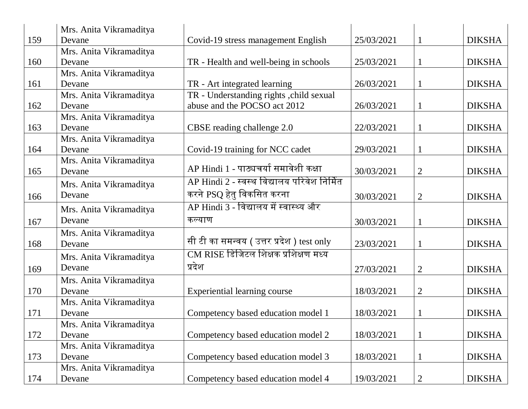|     | Mrs. Anita Vikramaditya |                                             |            |                |               |
|-----|-------------------------|---------------------------------------------|------------|----------------|---------------|
| 159 | Devane                  | Covid-19 stress management English          | 25/03/2021 |                | <b>DIKSHA</b> |
|     | Mrs. Anita Vikramaditya |                                             |            |                |               |
| 160 | Devane                  | TR - Health and well-being in schools       | 25/03/2021 |                | <b>DIKSHA</b> |
|     | Mrs. Anita Vikramaditya |                                             |            |                |               |
| 161 | Devane                  | TR - Art integrated learning                | 26/03/2021 |                | <b>DIKSHA</b> |
|     | Mrs. Anita Vikramaditya | TR - Understanding rights , child sexual    |            |                |               |
| 162 | Devane                  | abuse and the POCSO act 2012                | 26/03/2021 |                | <b>DIKSHA</b> |
|     | Mrs. Anita Vikramaditya |                                             |            |                |               |
| 163 | Devane                  | CBSE reading challenge 2.0                  | 22/03/2021 |                | <b>DIKSHA</b> |
|     | Mrs. Anita Vikramaditya |                                             |            |                |               |
| 164 | Devane                  | Covid-19 training for NCC cadet             | 29/03/2021 |                | <b>DIKSHA</b> |
|     | Mrs. Anita Vikramaditya |                                             |            |                |               |
| 165 | Devane                  | AP Hindi 1 - पाठ्यचर्या समावेशी कक्षा       | 30/03/2021 | $\overline{2}$ | <b>DIKSHA</b> |
|     | Mrs. Anita Vikramaditya | AP Hindi 2 - स्वस्थ विद्यालय परिवेश निर्मित |            |                |               |
| 166 | Devane                  | करने PSQ हेतु विकसित करना                   | 30/03/2021 | 2              | <b>DIKSHA</b> |
|     | Mrs. Anita Vikramaditya | AP Hindi 3 - विद्यालय में स्वास्थ्य और      |            |                |               |
| 167 | Devane                  | कल्याण                                      | 30/03/2021 |                | <b>DIKSHA</b> |
|     | Mrs. Anita Vikramaditya |                                             |            |                |               |
| 168 | Devane                  | सी टी का समन्वय ( उत्तर प्रदेश ) test only  | 23/03/2021 |                | <b>DIKSHA</b> |
|     | Mrs. Anita Vikramaditya | $CM$ RISE डिजिटल शिक्षक प्रशिक्षण मध्य      |            |                |               |
| 169 | Devane                  | प्रदेश                                      | 27/03/2021 | $\overline{2}$ | <b>DIKSHA</b> |
|     | Mrs. Anita Vikramaditya |                                             |            |                |               |
| 170 | Devane                  | <b>Experiential learning course</b>         | 18/03/2021 | $\overline{2}$ | <b>DIKSHA</b> |
|     | Mrs. Anita Vikramaditya |                                             |            |                |               |
| 171 | Devane                  | Competency based education model 1          | 18/03/2021 |                | <b>DIKSHA</b> |
|     | Mrs. Anita Vikramaditya |                                             |            |                |               |
| 172 | Devane                  | Competency based education model 2          | 18/03/2021 |                | <b>DIKSHA</b> |
|     | Mrs. Anita Vikramaditya |                                             |            |                |               |
| 173 | Devane                  | Competency based education model 3          | 18/03/2021 |                | <b>DIKSHA</b> |
|     | Mrs. Anita Vikramaditya |                                             |            |                |               |
| 174 | Devane                  | Competency based education model 4          | 19/03/2021 | 2              | <b>DIKSHA</b> |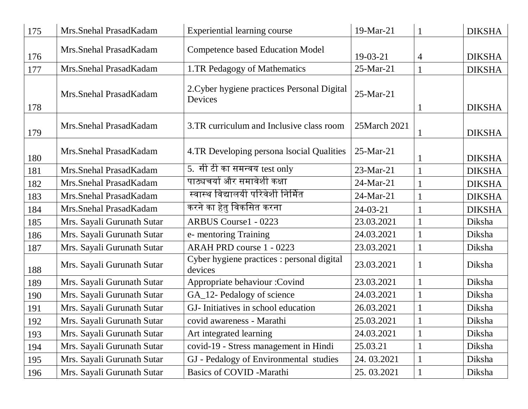| 175 | Mrs. Snehal Prasad Kadam   | <b>Experiential learning course</b>                    | 19-Mar-21      |              | <b>DIKSHA</b> |
|-----|----------------------------|--------------------------------------------------------|----------------|--------------|---------------|
| 176 | Mrs. Snehal Prasad Kadam   | <b>Competence based Education Model</b>                | $19-03-21$     | 4            | <b>DIKSHA</b> |
| 177 | Mrs.Snehal PrasadKadam     | 1.TR Pedagogy of Mathematics                           | 25-Mar-21      |              | <b>DIKSHA</b> |
| 178 | Mrs.Snehal PrasadKadam     | 2. Cyber hygiene practices Personal Digital<br>Devices | 25-Mar-21      |              | <b>DIKSHA</b> |
| 179 | Mrs. Snehal Prasad Kadam   | 3.TR curriculum and Inclusive class room               | 25March 2021   |              | <b>DIKSHA</b> |
| 180 | Mrs. Snehal Prasad Kadam   | 4.TR Developing persona Isocial Qualities              | $25-Mar-21$    |              | <b>DIKSHA</b> |
| 181 | Mrs. Snehal Prasad Kadam   | 5. सी टी का समन्वय test only                           | 23-Mar-21      |              | <b>DIKSHA</b> |
| 182 | Mrs.Snehal PrasadKadam     | पाठ्यचर्या और समावेशी कक्षा                            | 24-Mar-21      |              | <b>DIKSHA</b> |
| 183 | Mrs. Snehal Prasad Kadam   | स्वास्थ विद्यालयी परिवेशी निर्मित                      | 24-Mar-21      |              | <b>DIKSHA</b> |
| 184 | Mrs. Snehal Prasad Kadam   | करने का हेतु विकसित करना                               | $24 - 03 - 21$ |              | <b>DIKSHA</b> |
| 185 | Mrs. Sayali Gurunath Sutar | <b>ARBUS Course1 - 0223</b>                            | 23.03.2021     |              | Diksha        |
| 186 | Mrs. Sayali Gurunath Sutar | e- mentoring Training                                  | 24.03.2021     |              | Diksha        |
| 187 | Mrs. Sayali Gurunath Sutar | <b>ARAH PRD course 1 - 0223</b>                        | 23.03.2021     |              | Diksha        |
| 188 | Mrs. Sayali Gurunath Sutar | Cyber hygiene practices : personal digital<br>devices  | 23.03.2021     | 1            | Diksha        |
| 189 | Mrs. Sayali Gurunath Sutar | Appropriate behaviour : Covind                         | 23.03.2021     |              | Diksha        |
| 190 | Mrs. Sayali Gurunath Sutar | GA_12- Pedalogy of science                             | 24.03.2021     |              | Diksha        |
| 191 | Mrs. Sayali Gurunath Sutar | GJ- Initiatives in school education                    | 26.03.2021     |              | Diksha        |
| 192 | Mrs. Sayali Gurunath Sutar | covid awareness - Marathi                              | 25.03.2021     |              | Diksha        |
| 193 | Mrs. Sayali Gurunath Sutar | Art integrated learning                                | 24.03.2021     |              | Diksha        |
| 194 | Mrs. Sayali Gurunath Sutar | covid-19 - Stress management in Hindi                  | 25.03.21       |              | Diksha        |
| 195 | Mrs. Sayali Gurunath Sutar | GJ - Pedalogy of Environmental studies                 | 24.03.2021     |              | Diksha        |
| 196 | Mrs. Sayali Gurunath Sutar | <b>Basics of COVID -Marathi</b>                        | 25.03.2021     | $\mathbf{1}$ | Diksha        |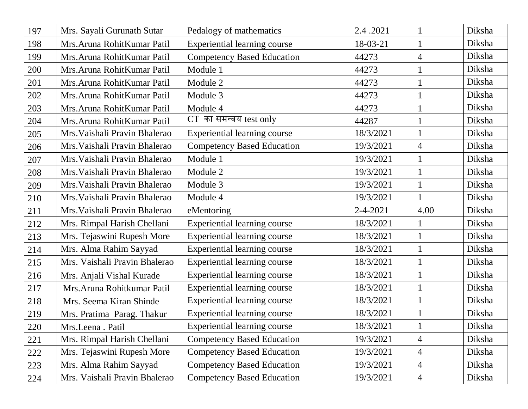| 197 | Mrs. Sayali Gurunath Sutar    | Pedalogy of mathematics             | 2.4.2021       |                | Diksha |
|-----|-------------------------------|-------------------------------------|----------------|----------------|--------|
| 198 | Mrs. Aruna Rohit Kumar Patil  | Experiential learning course        | 18-03-21       |                | Diksha |
| 199 | Mrs. Aruna RohitKumar Patil   | <b>Competency Based Education</b>   | 44273          | 4              | Diksha |
| 200 | Mrs. Aruna RohitKumar Patil   | Module 1                            | 44273          |                | Diksha |
| 201 | Mrs. Aruna RohitKumar Patil   | Module 2                            | 44273          |                | Diksha |
| 202 | Mrs. Aruna RohitKumar Patil   | Module 3                            | 44273          |                | Diksha |
| 203 | Mrs. Aruna RohitKumar Patil   | Module 4                            | 44273          |                | Diksha |
| 204 | Mrs. Aruna RohitKumar Patil   | CT का समन्वय test only              | 44287          |                | Diksha |
| 205 | Mrs. Vaishali Pravin Bhalerao | <b>Experiential learning course</b> | 18/3/2021      |                | Diksha |
| 206 | Mrs. Vaishali Pravin Bhalerao | <b>Competency Based Education</b>   | 19/3/2021      | $\overline{4}$ | Diksha |
| 207 | Mrs. Vaishali Pravin Bhalerao | Module 1                            | 19/3/2021      |                | Diksha |
| 208 | Mrs. Vaishali Pravin Bhalerao | Module 2                            | 19/3/2021      |                | Diksha |
| 209 | Mrs. Vaishali Pravin Bhalerao | Module 3                            | 19/3/2021      |                | Diksha |
| 210 | Mrs. Vaishali Pravin Bhalerao | Module 4                            | 19/3/2021      |                | Diksha |
|     | Mrs. Vaishali Pravin Bhalerao | eMentoring                          | $2 - 4 - 2021$ | 4.00           | Diksha |
| 211 |                               |                                     |                |                |        |
| 212 | Mrs. Rimpal Harish Chellani   | <b>Experiential learning course</b> | 18/3/2021      |                | Diksha |
| 213 | Mrs. Tejaswini Rupesh More    | <b>Experiential learning course</b> | 18/3/2021      |                | Diksha |
| 214 | Mrs. Alma Rahim Sayyad        | <b>Experiential learning course</b> | 18/3/2021      |                | Diksha |
| 215 | Mrs. Vaishali Pravin Bhalerao | <b>Experiential learning course</b> | 18/3/2021      |                | Diksha |
| 216 | Mrs. Anjali Vishal Kurade     | <b>Experiential learning course</b> | 18/3/2021      |                | Diksha |
| 217 | Mrs. Aruna Rohitkumar Patil   | <b>Experiential learning course</b> | 18/3/2021      |                | Diksha |
| 218 | Mrs. Seema Kiran Shinde       | <b>Experiential learning course</b> | 18/3/2021      |                | Diksha |
| 219 | Mrs. Pratima Parag. Thakur    | <b>Experiential learning course</b> | 18/3/2021      |                | Diksha |
| 220 | Mrs.Leena. Patil              | <b>Experiential learning course</b> | 18/3/2021      |                | Diksha |
| 221 | Mrs. Rimpal Harish Chellani   | <b>Competency Based Education</b>   | 19/3/2021      | 4              | Diksha |
| 222 | Mrs. Tejaswini Rupesh More    | <b>Competency Based Education</b>   | 19/3/2021      | 4              | Diksha |
| 223 | Mrs. Alma Rahim Sayyad        | <b>Competency Based Education</b>   | 19/3/2021      | 4              | Diksha |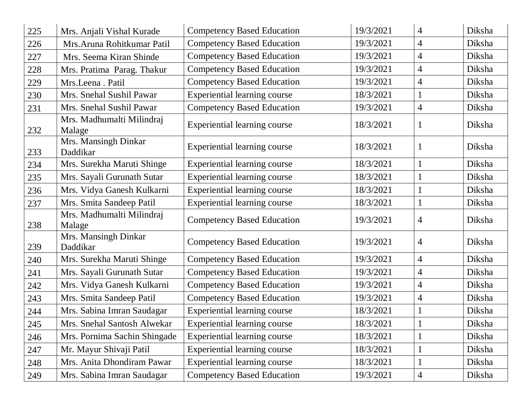| 225     | Mrs. Anjali Vishal Kurade           | <b>Competency Based Education</b>   | 19/3/2021 | 4              | Diksha |
|---------|-------------------------------------|-------------------------------------|-----------|----------------|--------|
| 226     | Mrs. Aruna Rohitkumar Patil         | <b>Competency Based Education</b>   | 19/3/2021 | $\overline{4}$ | Diksha |
| 227     | Mrs. Seema Kiran Shinde             | <b>Competency Based Education</b>   | 19/3/2021 | $\overline{4}$ | Diksha |
| 228     | Mrs. Pratima Parag. Thakur          | <b>Competency Based Education</b>   | 19/3/2021 | $\overline{4}$ | Diksha |
| 229     | Mrs.Leena. Patil                    | <b>Competency Based Education</b>   | 19/3/2021 | $\overline{4}$ | Diksha |
| 230     | Mrs. Snehal Sushil Pawar            | Experiential learning course        | 18/3/2021 |                | Diksha |
| 231     | Mrs. Snehal Sushil Pawar            | <b>Competency Based Education</b>   | 19/3/2021 | $\overline{4}$ | Diksha |
| 232     | Mrs. Madhumalti Milindraj<br>Malage | <b>Experiential learning course</b> | 18/3/2021 |                | Diksha |
| 233     | Mrs. Mansingh Dinkar<br>Daddikar    | <b>Experiential learning course</b> | 18/3/2021 |                | Diksha |
| 234     | Mrs. Surekha Maruti Shinge          | Experiential learning course        | 18/3/2021 |                | Diksha |
| 235     | Mrs. Sayali Gurunath Sutar          | Experiential learning course        | 18/3/2021 | 1              | Diksha |
| 236     | Mrs. Vidya Ganesh Kulkarni          | Experiential learning course        | 18/3/2021 |                | Diksha |
| 237     | Mrs. Smita Sandeep Patil            | Experiential learning course        | 18/3/2021 |                | Diksha |
| 238     | Mrs. Madhumalti Milindraj<br>Malage | <b>Competency Based Education</b>   | 19/3/2021 | 4              | Diksha |
| 239     | Mrs. Mansingh Dinkar<br>Daddikar    | <b>Competency Based Education</b>   | 19/3/2021 | 4              | Diksha |
| 240     | Mrs. Surekha Maruti Shinge          | <b>Competency Based Education</b>   | 19/3/2021 | $\overline{4}$ | Diksha |
| 241     | Mrs. Sayali Gurunath Sutar          | <b>Competency Based Education</b>   | 19/3/2021 | $\overline{4}$ | Diksha |
| 242     | Mrs. Vidya Ganesh Kulkarni          | <b>Competency Based Education</b>   | 19/3/2021 | 4              | Diksha |
| 243     | Mrs. Smita Sandeep Patil            | <b>Competency Based Education</b>   | 19/3/2021 | $\overline{4}$ | Diksha |
| 244     | Mrs. Sabina Imran Saudagar          | <b>Experiential learning course</b> | 18/3/2021 |                | Diksha |
| $245\,$ | Mrs. Snehal Santosh Alwekar         | Experiential learning course        | 18/3/2021 |                | Diksha |
| 246     | Mrs. Pornima Sachin Shingade        | <b>Experiential learning course</b> | 18/3/2021 |                | Diksha |
| 247     | Mr. Mayur Shivaji Patil             | <b>Experiential learning course</b> | 18/3/2021 |                | Diksha |
| 248     | Mrs. Anita Dhondiram Pawar          | Experiential learning course        | 18/3/2021 |                | Diksha |
| 249     | Mrs. Sabina Imran Saudagar          | <b>Competency Based Education</b>   | 19/3/2021 | 4              | Diksha |